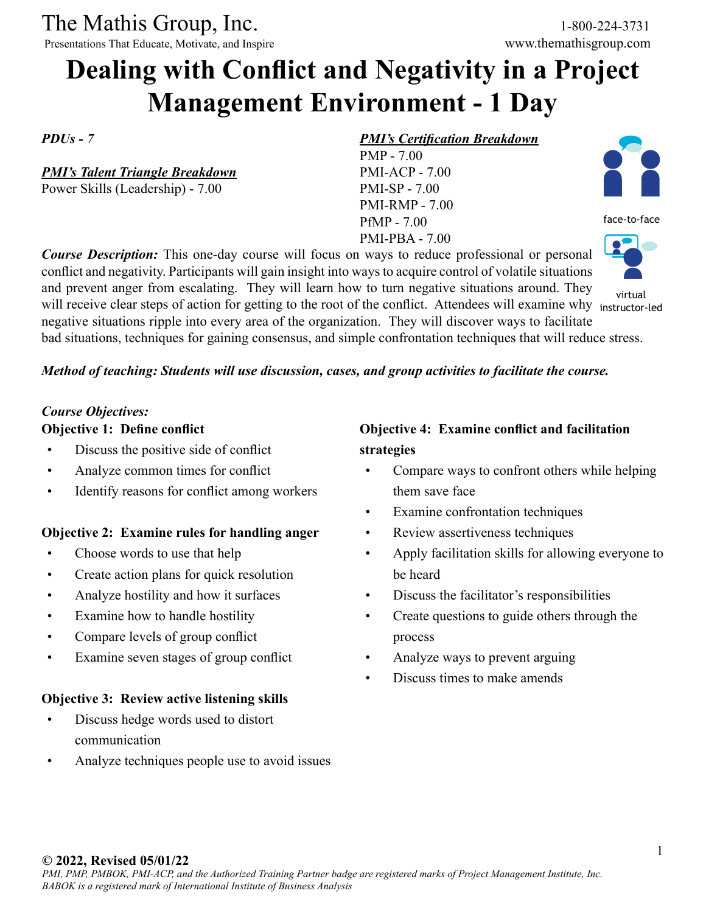The Mathis Group, Inc. 1-800-224-3731<br>
Presentations That Educate, Motivate, and Inspire www.themathisgroup.com

Presentations That Educate, Motivate, and Inspire

# **Dealing with Conflict and Negativity in a Project Management Environment - 1 Day**

*PDUs - 7*

*PMI's Talent Triangle Breakdown* Power Skills (Leadership) - 7.00

#### *PMI's Certification Breakdown*

PMP - 7.00 PMI-ACP - 7.00 PMI-SP - 7.00 PMI-RMP - 7.00 PfMP - 7.00 PMI-PBA - 7.00



face-to-face



virtual

and prevent anger from escalating. They will learn how to turn negative situations around. They will receive clear steps of action for getting to the root of the conflict. Attendees will examine why instructor-led negative situations ripple into every area of the organization. They will discover ways to facilitate

bad situations, techniques for gaining consensus, and simple confrontation techniques that will reduce stress.

#### *Method of teaching: Students will use discussion, cases, and group activities to facilitate the course.*

*Course Description:* This one-day course will focus on ways to reduce professional or personal conflict and negativity. Participants will gain insight into ways to acquire control of volatile situations

#### *Course Objectives:*

#### **Objective 1: Define conflict**

- Discuss the positive side of conflict
- Analyze common times for conflict
- Identify reasons for conflict among workers

#### **Objective 2: Examine rules for handling anger**

- Choose words to use that help
- Create action plans for quick resolution
- Analyze hostility and how it surfaces
- Examine how to handle hostility
- Compare levels of group conflict
- Examine seven stages of group conflict

### **Objective 3: Review active listening skills**

- Discuss hedge words used to distort communication
- Analyze techniques people use to avoid issues

### **Objective 4: Examine conflict and facilitation strategies**

- Compare ways to confront others while helping them save face
- Examine confrontation techniques
- Review assertiveness techniques
- Apply facilitation skills for allowing everyone to be heard
- Discuss the facilitator's responsibilities
- Create questions to guide others through the process
- Analyze ways to prevent arguing
- Discuss times to make amends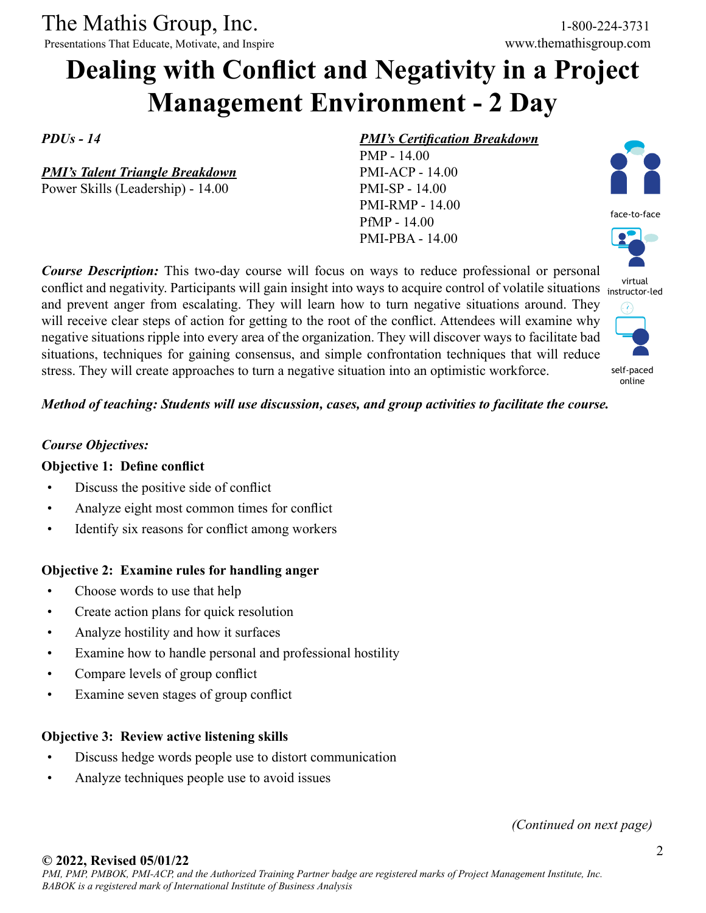The Mathis Group, Inc. 1-800-224-3731

Presentations That Educate, Motivate, and Inspire www.themathisgroup.com

# **Dealing with Conflict and Negativity in a Project Management Environment - 2 Day**

*PDUs - 14*

*PMI's Talent Triangle Breakdown* Power Skills (Leadership) - 14.00

#### *PMI's Certification Breakdown*

PMP - 14.00 PMI-ACP - 14.00 PMI-SP - 14.00 PMI-RMP - 14.00 PfMP - 14.00 PMI-PBA - 14.00

*Course Description:* This two-day course will focus on ways to reduce professional or personal conflict and negativity. Participants will gain insight into ways to acquire control of volatile situations instructor-led and prevent anger from escalating. They will learn how to turn negative situations around. They will receive clear steps of action for getting to the root of the conflict. Attendees will examine why negative situations ripple into every area of the organization. They will discover ways to facilitate bad situations, techniques for gaining consensus, and simple confrontation techniques that will reduce stress. They will create approaches to turn a negative situation into an optimistic workforce.

face-to-face virtual  $\epsilon$ a



online

#### *Method of teaching: Students will use discussion, cases, and group activities to facilitate the course.*

#### *Course Objectives:*

#### **Objective 1: Define conflict**

- Discuss the positive side of conflict
- Analyze eight most common times for conflict
- Identify six reasons for conflict among workers

#### **Objective 2: Examine rules for handling anger**

- Choose words to use that help
- Create action plans for quick resolution
- Analyze hostility and how it surfaces
- Examine how to handle personal and professional hostility
- Compare levels of group conflict
- Examine seven stages of group conflict

#### **Objective 3: Review active listening skills**

- Discuss hedge words people use to distort communication
- Analyze techniques people use to avoid issues

*(Continued on next page)*

#### **© 2022, Revised 05/01/22**